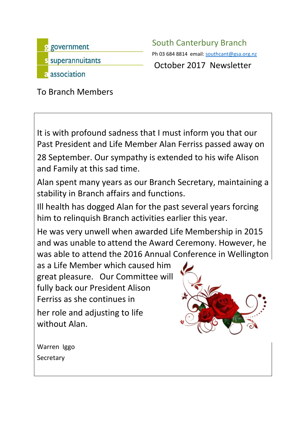

s government South Canterbury Branch Ph 03 684 8814 email: [southcant@gsa.org.nz](mailto:southcant@gsa.org.nz)<br>S SUDETANNUITANTS

To Branch Members

It is with profound sadness that I must inform you that our Past President and Life Member Alan Ferriss passed away on 28 September. Our sympathy is extended to his wife Alison and Family at this sad time.

Alan spent many years as our Branch Secretary, maintaining a stability in Branch affairs and functions.

Ill health has dogged Alan for the past several years forcing him to relinquish Branch activities earlier this year.

He was very unwell when awarded Life Membership in 2015 and was unable to attend the Award Ceremony. However, he was able to attend the 2016 Annual Conference in Wellington

as a Life Member which caused him great pleasure. Our Committee will fully back our President Alison Ferriss as she continues in her role and adjusting to life without Alan.



Warren Iggo **Secretary**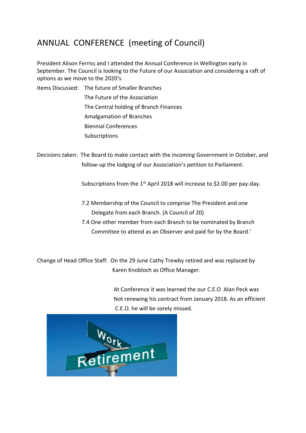## ANNUAL CONFERENCE (meeting of Council)

President Alison Ferriss and I attended the Annual Conference in Wellington early in September. The Council is looking to the Future of our Association and considering a raft of options as we move to the 2020's.

Items Discussed: The future of Smaller Branches The Future of the Association The Central holding of Branch Finances Amalgamation of Branches Biennial Conferences **Subscriptions** 

Decisions taken: The Board to make contact with the incoming Government in October, and follow-up the lodging of our Association's petition to Parliament.

Subscriptions from the 1<sup>st</sup> April 2018 will increase to \$2.00 per pay-day.

- 7.2 Membership of the Council to comprise The President and one Delegate from each Branch. (A Council of 20)
- 7.4 One other member from each Branch to be nominated by Branch Committee to attend as an Observer and paid for by the Board.'

Change of Head Office Staff: On the 29 June Cathy Trewby retired and was replaced by Karen Knobloch as Office Manager.

> At Conference it was learned the our C.E.O Alan Peck was Not renewing his contract from January 2018. As an efficient C.E.O. he will be sorely missed.

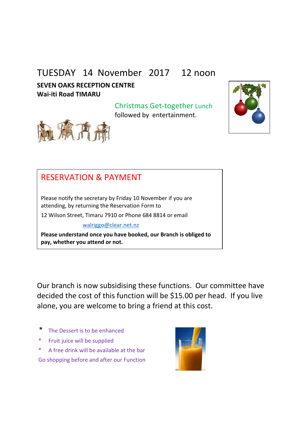## TUESDAY 14 November 2017 12 noon

**SEVEN OAKS RECEPTION CENTRE Wai-iti Road TIMARU**

> Christmas Get-together Lunch followed by entertainment.





## RESERVATION & PAYMENT

Please notify the secretary by Friday 10 November if you are attending, by returning the Reservation Form to

12 Wilson Street, Timaru 7910 or Phone 684 8814 or email

[walriggo@clear.net.nz](mailto:walriggo@clear.net.nz)

**Please understand once you have booked, our Branch is obliged to pay, whether you attend or not.**

Our branch is now subsidising these functions. Our committee have decided the cost of this function will be \$15.00 per head. If you live alone, you are welcome to bring a friend at this cost.

- \* The Dessert is to be enhanced
- Fruit juice will be supplied
- \* A free drink will be available at the bar Go shopping before and after our Function